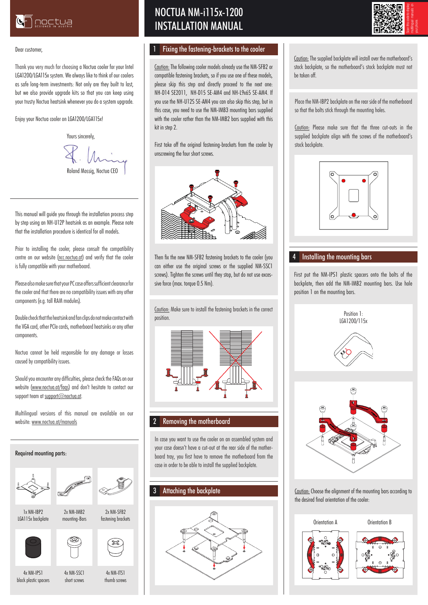

#### Dear customer,

Thank you very much for choosing a Noctua cooler for your Intel LGA1200/LGA115x system. We always like to think of our coolers as safe long-term investments: Not only are they built to last, but we also provide upgrade kits so that you can keep using your trusty Noctua heatsink whenever you do a system upgrade.

Enjoy your Noctua cooler on LGA1200/LGA115x!

Yours sincerely Roland Mossig, Noctua CEO

This manual will guide you through the installation process step by step using an NH-U12P heatsink as an example. Please note that the installation procedure is identical for all models.

Prior to installing the cooler, please consult the compatibility centre on our website (ncc.noctua.at) and verify that the cooler is fully compatible with your motherboard.

Please also make sure that your PC case offers sufficient clearance for the cooler and that there are no compatibility issues with any other components (e.g. tall RAM modules).

Double check that the heatsink and fan clips do not make contact with the VGA card, other PCIe cards, motherboard heatsinks or any other components.

Noctua cannot be held responsible for any damage or losses caused by compatibility issues.

Should you encounter any difficulties, please check the FAQs on our website (www.noctua.at/faqs) and don't hesitate to contact our support team at support@noctua.at.

Multilingual versions of this manual are available on our website: www.noctua.at/manuals

#### Required mounting parts:





2x NM-SFB2 fastening brackets

1x NM-IBP2 LGA115x backplate

mounting-Bars





4x NM-SSC1 short screws

2x NM-IMB2



4x NM-IPS1 black plastic spacers

4x NM-ITS1 thumb screws

# NOCTUA NM-i115x-1200 INSTALLATION MANUAL

### 1 Fixing the fastening-brackets to the cooler

Caution: The following cooler models already use the NM-SFB2 or compatible fastening brackets, so if you use one of these models, please skip this step and directly proceed to the next one: NH-D14 SE2011, NH-D15 SE-AM4 and NH-L9x65 SE-AM4. If you use the NH-U12S SE-AM4 you can also skip this step, but in this case, you need to use the NM-IMB3 mounting bars supplied with the cooler rather than the NM-IMB2 bars supplied with this kit in step 2.

First take off the original fastening-brackets from the cooler by unscrewing the four short screws.



Then fix the new NM-SFB2 fastening brackets to the cooler (you can either use the original screws or the supplied NM-SSC1 screws). Tighten the screws until they stop, but do not use excessive force (max. torque 0.5 Nm).

Caution: Make sure to install the fastening brackets in the correct position.



### 2 Removing the motherboard

In case you want to use the cooler on an assembled system and your case doesn't have a cut-out at the rear side of the motherboard tray, you first have to remove the motherboard from the case in order to be able to install the supplied backplate.

### 3 Attaching the backplate





Caution: The supplied backplate will install over the motherboard's stock backplate, so the motherboard's stock backplate must not be taken off.

Place the NM-IBP2 backplate on the rear side of the motherboard so that the bolts stick through the mounting holes.

Caution: Please make sure that the three cut-outs in the supplied backplate align with the screws of the motherboard's stock backplate.



# 4 Installing the mounting bars

First put the NM-IPS1 plastic spacers onto the bolts of the backplate, then add the NM-IMB2 mounting bars. Use hole position 1 on the mounting bars.



Caution: Choose the alignment of the mounting bars according to the desired final orientation of the cooler: